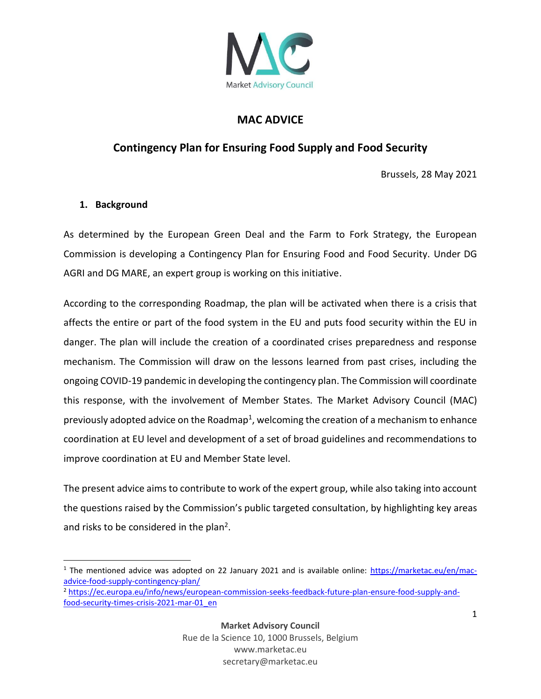

## **MAC ADVICE**

## **Contingency Plan for Ensuring Food Supply and Food Security**

Brussels, 28 May 2021

## **1. Background**

As determined by the European Green Deal and the Farm to Fork Strategy, the European Commission is developing a Contingency Plan for Ensuring Food and Food Security. Under DG AGRI and DG MARE, an expert group is working on this initiative.

According to the corresponding Roadmap, the plan will be activated when there is a crisis that affects the entire or part of the food system in the EU and puts food security within the EU in danger. The plan will include the creation of a coordinated crises preparedness and response mechanism. The Commission will draw on the lessons learned from past crises, including the ongoing COVID-19 pandemic in developing the contingency plan. The Commission will coordinate this response, with the involvement of Member States. The Market Advisory Council (MAC) previously adopted advice on the Roadmap<sup>1</sup>, welcoming the creation of a mechanism to enhance coordination at EU level and development of a set of broad guidelines and recommendations to improve coordination at EU and Member State level.

The present advice aims to contribute to work of the expert group, while also taking into account the questions raised by the Commission's public targeted consultation, by highlighting key areas and risks to be considered in the plan<sup>2</sup>.

<sup>1</sup> The mentioned advice was adopted on 22 January 2021 and is available online: [https://marketac.eu/en/mac](https://marketac.eu/en/mac-advice-food-supply-contingency-plan/)[advice-food-supply-contingency-plan/](https://marketac.eu/en/mac-advice-food-supply-contingency-plan/)

<sup>2</sup> [https://ec.europa.eu/info/news/european-commission-seeks-feedback-future-plan-ensure-food-supply-and](https://ec.europa.eu/info/news/european-commission-seeks-feedback-future-plan-ensure-food-supply-and-food-security-times-crisis-2021-mar-01_en)[food-security-times-crisis-2021-mar-01\\_en](https://ec.europa.eu/info/news/european-commission-seeks-feedback-future-plan-ensure-food-supply-and-food-security-times-crisis-2021-mar-01_en)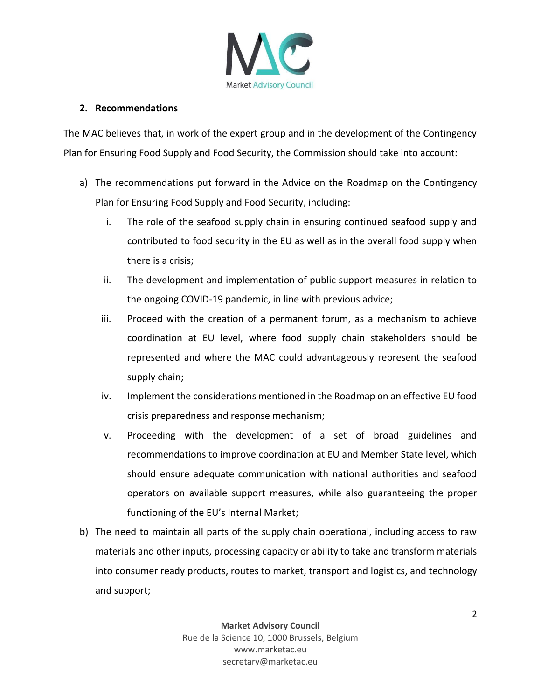

## **2. Recommendations**

The MAC believes that, in work of the expert group and in the development of the Contingency Plan for Ensuring Food Supply and Food Security, the Commission should take into account:

- a) The recommendations put forward in the Advice on the Roadmap on the Contingency Plan for Ensuring Food Supply and Food Security, including:
	- i. The role of the seafood supply chain in ensuring continued seafood supply and contributed to food security in the EU as well as in the overall food supply when there is a crisis;
	- ii. The development and implementation of public support measures in relation to the ongoing COVID-19 pandemic, in line with previous advice;
	- iii. Proceed with the creation of a permanent forum, as a mechanism to achieve coordination at EU level, where food supply chain stakeholders should be represented and where the MAC could advantageously represent the seafood supply chain;
	- iv. Implement the considerations mentioned in the Roadmap on an effective EU food crisis preparedness and response mechanism;
	- v. Proceeding with the development of a set of broad guidelines and recommendations to improve coordination at EU and Member State level, which should ensure adequate communication with national authorities and seafood operators on available support measures, while also guaranteeing the proper functioning of the EU's Internal Market;
- b) The need to maintain all parts of the supply chain operational, including access to raw materials and other inputs, processing capacity or ability to take and transform materials into consumer ready products, routes to market, transport and logistics, and technology and support;